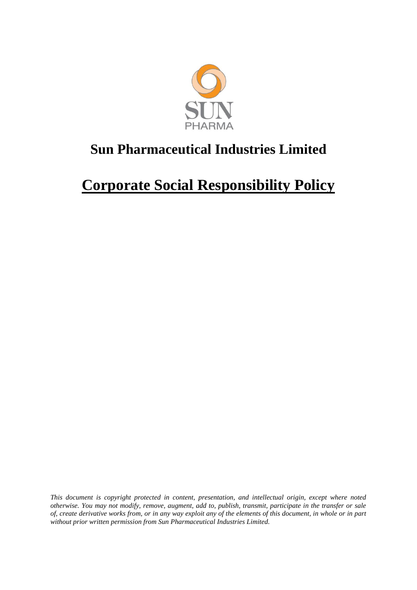

# **Corporate Social Responsibility Policy**

*This document is copyright protected in content, presentation, and intellectual origin, except where noted otherwise. You may not modify, remove, augment, add to, publish, transmit, participate in the transfer or sale of, create derivative works from, or in any way exploit any of the elements of this document, in whole or in part without prior written permission from Sun Pharmaceutical Industries Limited.*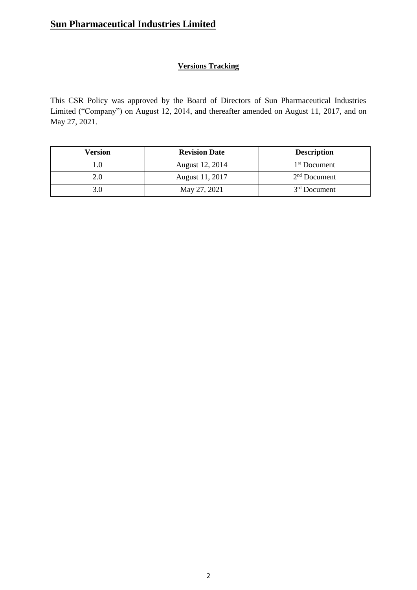### **Versions Tracking**

This CSR Policy was approved by the Board of Directors of Sun Pharmaceutical Industries Limited ("Company") on August 12, 2014, and thereafter amended on August 11, 2017, and on May 27, 2021.

| Version | <b>Revision Date</b> | <b>Description</b> |
|---------|----------------------|--------------------|
|         | August 12, 2014      | $1st$ Document     |
| 2.0     | August 11, 2017      | $2nd$ Document     |
|         | May 27, 2021         | $3rd$ Document     |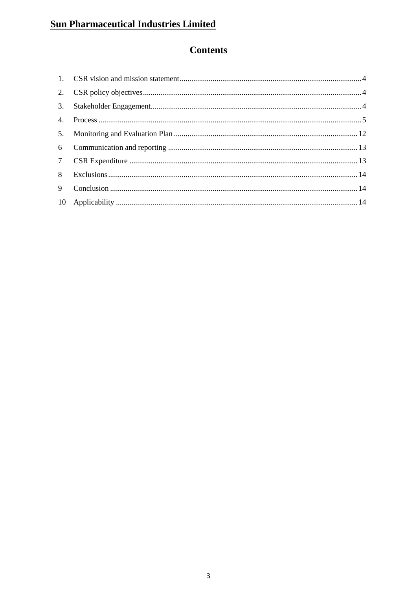## **Contents**

| 3.              |  |
|-----------------|--|
|                 |  |
|                 |  |
|                 |  |
| $7\overline{ }$ |  |
| 8               |  |
| 9               |  |
|                 |  |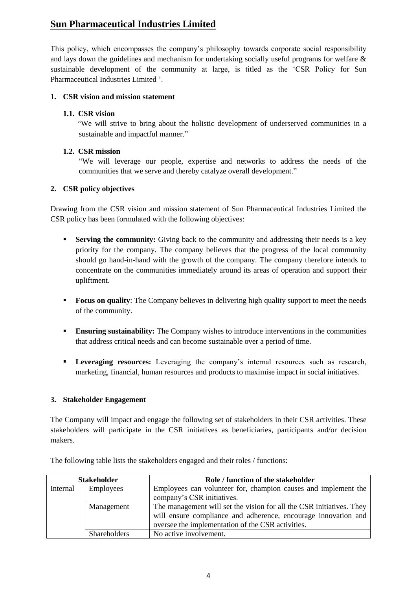This policy, which encompasses the company's philosophy towards corporate social responsibility and lays down the guidelines and mechanism for undertaking socially useful programs for welfare & sustainable development of the community at large, is titled as the 'CSR Policy for Sun Pharmaceutical Industries Limited '.

#### <span id="page-3-0"></span>**1. CSR vision and mission statement**

#### **1.1. CSR vision**

"We will strive to bring about the holistic development of underserved communities in a sustainable and impactful manner."

#### **1.2. CSR mission**

"We will leverage our people, expertise and networks to address the needs of the communities that we serve and thereby catalyze overall development."

#### <span id="page-3-1"></span>**2. CSR policy objectives**

Drawing from the CSR vision and mission statement of Sun Pharmaceutical Industries Limited the CSR policy has been formulated with the following objectives:

- **Serving the community:** Giving back to the community and addressing their needs is a key priority for the company. The company believes that the progress of the local community should go hand-in-hand with the growth of the company. The company therefore intends to concentrate on the communities immediately around its areas of operation and support their upliftment.
- **Focus on quality**: The Company believes in delivering high quality support to meet the needs of the community.
- **Ensuring sustainability:** The Company wishes to introduce interventions in the communities that address critical needs and can become sustainable over a period of time.
- **Leveraging resources:** Leveraging the company's internal resources such as research, marketing, financial, human resources and products to maximise impact in social initiatives.

#### <span id="page-3-2"></span>**3. Stakeholder Engagement**

The Company will impact and engage the following set of stakeholders in their CSR activities. These stakeholders will participate in the CSR initiatives as beneficiaries, participants and/or decision makers.

| <b>Stakeholder</b> |                     | Role / function of the stakeholder                                                                                                                                                          |  |
|--------------------|---------------------|---------------------------------------------------------------------------------------------------------------------------------------------------------------------------------------------|--|
| Internal           | Employees           | Employees can volunteer for, champion causes and implement the                                                                                                                              |  |
|                    |                     | company's CSR initiatives.                                                                                                                                                                  |  |
|                    | Management          | The management will set the vision for all the CSR initiatives. They<br>will ensure compliance and adherence, encourage innovation and<br>oversee the implementation of the CSR activities. |  |
|                    | <b>Shareholders</b> | No active involvement.                                                                                                                                                                      |  |

The following table lists the stakeholders engaged and their roles / functions: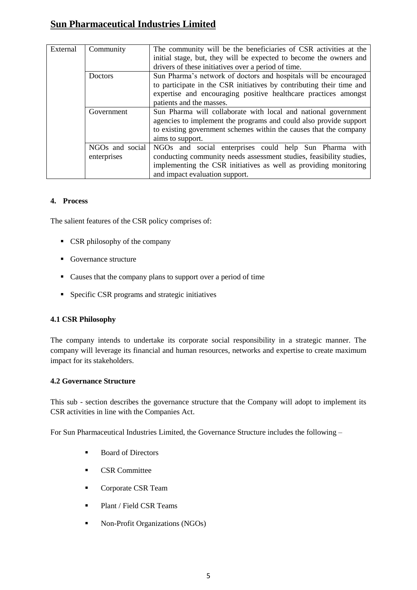| External | Community                      | The community will be the beneficiaries of CSR activities at the<br>initial stage, but, they will be expected to become the owners and                                                                                              |  |  |  |
|----------|--------------------------------|-------------------------------------------------------------------------------------------------------------------------------------------------------------------------------------------------------------------------------------|--|--|--|
|          |                                | drivers of these initiatives over a period of time.                                                                                                                                                                                 |  |  |  |
|          | Doctors                        | Sun Pharma's network of doctors and hospitals will be encouraged                                                                                                                                                                    |  |  |  |
|          |                                | to participate in the CSR initiatives by contributing their time and                                                                                                                                                                |  |  |  |
|          |                                | expertise and encouraging positive healthcare practices amongst                                                                                                                                                                     |  |  |  |
|          |                                | patients and the masses.                                                                                                                                                                                                            |  |  |  |
|          | Government                     | Sun Pharma will collaborate with local and national government                                                                                                                                                                      |  |  |  |
|          |                                | agencies to implement the programs and could also provide support                                                                                                                                                                   |  |  |  |
|          |                                | to existing government schemes within the causes that the company                                                                                                                                                                   |  |  |  |
|          |                                | aims to support.                                                                                                                                                                                                                    |  |  |  |
|          | NGOs and social<br>enterprises | NGOs and social enterprises could help Sun Pharma with<br>conducting community needs assessment studies, feasibility studies,<br>implementing the CSR initiatives as well as providing monitoring<br>and impact evaluation support. |  |  |  |

#### <span id="page-4-0"></span>**4. Process**

The salient features of the CSR policy comprises of:

- CSR philosophy of the company
- Governance structure
- Causes that the company plans to support over a period of time
- **Specific CSR programs and strategic initiatives**

#### **4.1 CSR Philosophy**

The company intends to undertake its corporate social responsibility in a strategic manner. The company will leverage its financial and human resources, networks and expertise to create maximum impact for its stakeholders.

#### **4.2 Governance Structure**

This sub - section describes the governance structure that the Company will adopt to implement its CSR activities in line with the Companies Act.

For Sun Pharmaceutical Industries Limited, the Governance Structure includes the following –

- Board of Directors
- **CSR** Committee
- Corporate CSR Team
- Plant / Field CSR Teams
- **Non-Profit Organizations (NGOs)**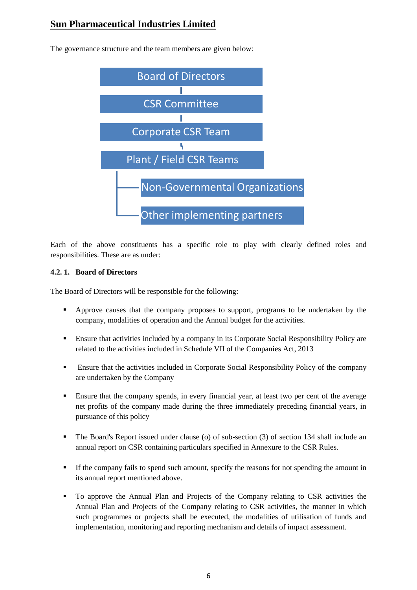

The governance structure and the team members are given below:

Each of the above constituents has a specific role to play with clearly defined roles and responsibilities. These are as under:

#### **4.2. 1. Board of Directors**

The Board of Directors will be responsible for the following:

- Approve causes that the company proposes to support, programs to be undertaken by the company, modalities of operation and the Annual budget for the activities.
- Ensure that activities included by a company in its Corporate Social Responsibility Policy are related to the activities included in Schedule VII of the Companies Act, 2013
- Ensure that the activities included in Corporate Social Responsibility Policy of the company are undertaken by the Company
- Ensure that the company spends, in every financial year, at least two per cent of the average net profits of the company made during the three immediately preceding financial years, in pursuance of this policy
- The Board's Report issued under clause (o) of sub-section (3) of section 134 shall include an annual report on CSR containing particulars specified in Annexure to the CSR Rules.
- If the company fails to spend such amount, specify the reasons for not spending the amount in its annual report mentioned above.
- To approve the Annual Plan and Projects of the Company relating to CSR activities the Annual Plan and Projects of the Company relating to CSR activities, the manner in which such programmes or projects shall be executed, the modalities of utilisation of funds and implementation, monitoring and reporting mechanism and details of impact assessment.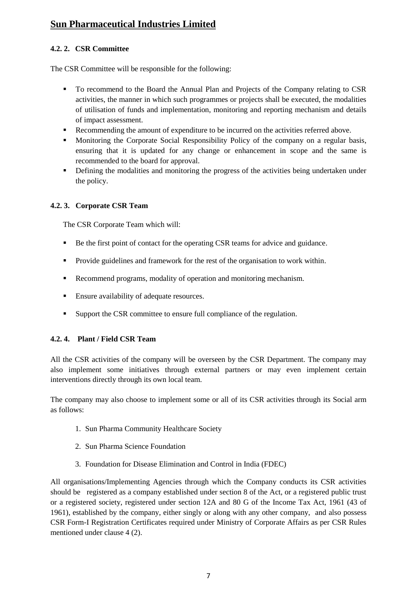#### **4.2. 2. CSR Committee**

The CSR Committee will be responsible for the following:

- To recommend to the Board the Annual Plan and Projects of the Company relating to CSR activities, the manner in which such programmes or projects shall be executed, the modalities of utilisation of funds and implementation, monitoring and reporting mechanism and details of impact assessment.
- Recommending the amount of expenditure to be incurred on the activities referred above.
- Monitoring the Corporate Social Responsibility Policy of the company on a regular basis, ensuring that it is updated for any change or enhancement in scope and the same is recommended to the board for approval.
- Defining the modalities and monitoring the progress of the activities being undertaken under the policy.

#### **4.2. 3. Corporate CSR Team**

The CSR Corporate Team which will:

- Be the first point of contact for the operating CSR teams for advice and guidance.
- **Provide guidelines and framework for the rest of the organisation to work within.**
- Recommend programs, modality of operation and monitoring mechanism.
- Ensure availability of adequate resources.
- Support the CSR committee to ensure full compliance of the regulation.

#### **4.2. 4. Plant / Field CSR Team**

All the CSR activities of the company will be overseen by the CSR Department. The company may also implement some initiatives through external partners or may even implement certain interventions directly through its own local team.

The company may also choose to implement some or all of its CSR activities through its Social arm as follows:

- 1. Sun Pharma Community Healthcare Society
- 2. Sun Pharma Science Foundation
- 3. Foundation for Disease Elimination and Control in India (FDEC)

All organisations/Implementing Agencies through which the Company conducts its CSR activities should be registered as a company established under section 8 of the Act, or a registered public trust or a registered society, registered under section 12A and 80 G of the Income Tax Act, 1961 (43 of 1961), established by the company, either singly or along with any other company, and also possess CSR Form-I Registration Certificates required under Ministry of Corporate Affairs as per CSR Rules mentioned under clause 4 (2).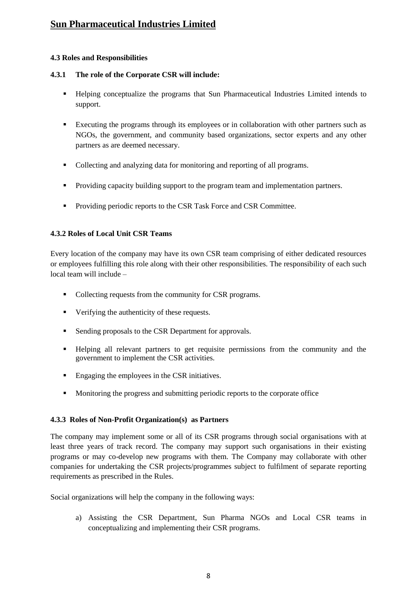#### **4.3 Roles and Responsibilities**

#### **4.3.1 The role of the Corporate CSR will include:**

- Helping conceptualize the programs that Sun Pharmaceutical Industries Limited intends to support.
- Executing the programs through its employees or in collaboration with other partners such as NGOs, the government, and community based organizations, sector experts and any other partners as are deemed necessary.
- Collecting and analyzing data for monitoring and reporting of all programs.
- **Providing capacity building support to the program team and implementation partners.**
- **Providing periodic reports to the CSR Task Force and CSR Committee.**

#### **4.3.2 Roles of Local Unit CSR Teams**

Every location of the company may have its own CSR team comprising of either dedicated resources or employees fulfilling this role along with their other responsibilities. The responsibility of each such local team will include –

- Collecting requests from the community for CSR programs.
- Verifying the authenticity of these requests.
- **Sending proposals to the CSR Department for approvals.**
- Helping all relevant partners to get requisite permissions from the community and the government to implement the CSR activities.
- **Engaging the employees in the CSR initiatives.**
- Monitoring the progress and submitting periodic reports to the corporate office

#### **4.3.3 Roles of Non-Profit Organization(s) as Partners**

The company may implement some or all of its CSR programs through social organisations with at least three years of track record. The company may support such organisations in their existing programs or may co-develop new programs with them. The Company may collaborate with other companies for undertaking the CSR projects/programmes subject to fulfilment of separate reporting requirements as prescribed in the Rules.

Social organizations will help the company in the following ways:

a) Assisting the CSR Department, Sun Pharma NGOs and Local CSR teams in conceptualizing and implementing their CSR programs.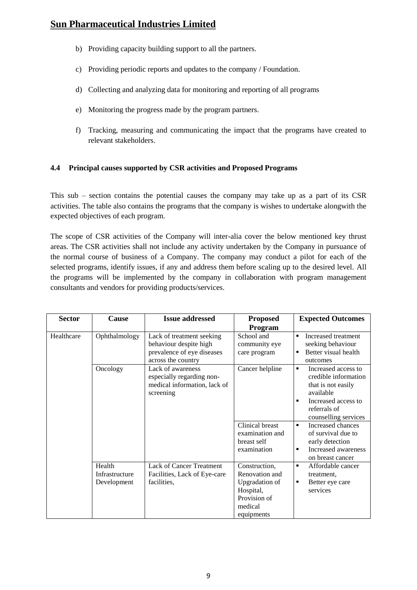- b) Providing capacity building support to all the partners.
- c) Providing periodic reports and updates to the company / Foundation.
- d) Collecting and analyzing data for monitoring and reporting of all programs
- e) Monitoring the progress made by the program partners.
- f) Tracking, measuring and communicating the impact that the programs have created to relevant stakeholders.

#### **4.4 Principal causes supported by CSR activities and Proposed Programs**

This sub – section contains the potential causes the company may take up as a part of its CSR activities. The table also contains the programs that the company is wishes to undertake alongwith the expected objectives of each program.

The scope of CSR activities of the Company will inter-alia cover the below mentioned key thrust areas. The CSR activities shall not include any activity undertaken by the Company in pursuance of the normal course of business of a Company. The company may conduct a pilot for each of the selected programs, identify issues, if any and address them before scaling up to the desired level. All the programs will be implemented by the company in collaboration with program management consultants and vendors for providing products/services.

| <b>Sector</b> | Cause                                   | <b>Issue addressed</b>                                                                                  | <b>Proposed</b>                                                                                         | <b>Expected Outcomes</b>                                                                                                                                                                                   |
|---------------|-----------------------------------------|---------------------------------------------------------------------------------------------------------|---------------------------------------------------------------------------------------------------------|------------------------------------------------------------------------------------------------------------------------------------------------------------------------------------------------------------|
|               |                                         |                                                                                                         | Program                                                                                                 |                                                                                                                                                                                                            |
| Healthcare    | Ophthalmology                           | Lack of treatment seeking<br>behaviour despite high<br>prevalence of eye diseases<br>across the country | School and<br>community eye<br>care program                                                             | Increased treatment<br>$\blacksquare$<br>seeking behaviour<br>Better visual health<br>outcomes                                                                                                             |
|               | Oncology                                | Lack of awareness<br>especially regarding non-<br>medical information, lack of<br>screening             | Cancer helpline<br>Clinical breast<br>examination and                                                   | Increased access to<br>credible information<br>that is not easily<br>available<br>Increased access to<br>$\blacksquare$<br>referrals of<br>counselling services<br>Increased chances<br>of survival due to |
|               |                                         |                                                                                                         | breast self<br>examination                                                                              | early detection<br>Increased awareness<br>$\blacksquare$<br>on breast cancer                                                                                                                               |
|               | Health<br>Infrastructure<br>Development | <b>Lack of Cancer Treatment</b><br>Facilities, Lack of Eye-care<br>facilities.                          | Construction,<br>Renovation and<br>Upgradation of<br>Hospital,<br>Provision of<br>medical<br>equipments | Affordable cancer<br>$\blacksquare$<br>treatment,<br>Better eye care<br>٠<br>services                                                                                                                      |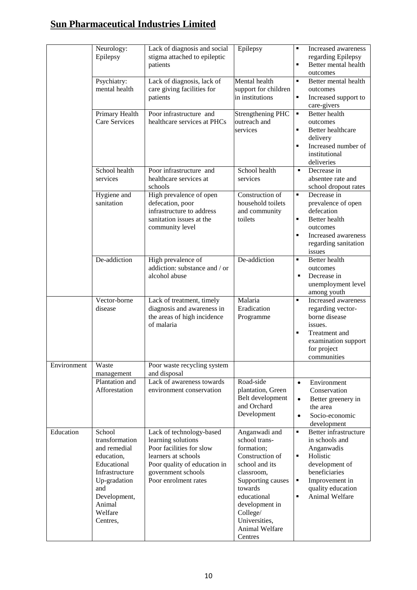|             | Neurology:<br>Epilepsy                                                                                                                                          | Lack of diagnosis and social<br>stigma attached to epileptic<br>patients                                                                                                        | Epilepsy                                                                                                                                                                                                                   | Increased awareness<br>٠<br>regarding Epilepsy<br>$\blacksquare$<br>Better mental health<br>outcomes                                                                                           |
|-------------|-----------------------------------------------------------------------------------------------------------------------------------------------------------------|---------------------------------------------------------------------------------------------------------------------------------------------------------------------------------|----------------------------------------------------------------------------------------------------------------------------------------------------------------------------------------------------------------------------|------------------------------------------------------------------------------------------------------------------------------------------------------------------------------------------------|
|             | Psychiatry:<br>mental health                                                                                                                                    | Lack of diagnosis, lack of<br>care giving facilities for<br>patients                                                                                                            | Mental health<br>support for children<br>in institutions                                                                                                                                                                   | Better mental health<br>$\blacksquare$<br>outcomes<br>٠<br>Increased support to<br>care-givers                                                                                                 |
|             | Primary Health<br>Care Services                                                                                                                                 | Poor infrastructure and<br>healthcare services at PHCs                                                                                                                          | <b>Strengthening PHC</b><br>outreach and<br>services                                                                                                                                                                       | <b>Better</b> health<br>$\blacksquare$<br>outcomes<br>Better healthcare<br>٠<br>delivery<br>Increased number of<br>٠<br>institutional<br>deliveries                                            |
|             | School health<br>services                                                                                                                                       | Poor infrastructure and<br>healthcare services at<br>schools                                                                                                                    | School health<br>services                                                                                                                                                                                                  | Decrease in<br>٠<br>absentee rate and<br>school dropout rates                                                                                                                                  |
|             | Hygiene and<br>sanitation                                                                                                                                       | High prevalence of open<br>defecation, poor<br>infrastructure to address<br>sanitation issues at the<br>community level                                                         | Construction of<br>household toilets<br>and community<br>toilets                                                                                                                                                           | ٠<br>Decrease in<br>prevalence of open<br>defecation<br>Better health<br>٠<br>outcomes<br>Increased awareness<br>٠<br>regarding sanitation<br>issues                                           |
|             | De-addiction                                                                                                                                                    | High prevalence of<br>addiction: substance and / or<br>alcohol abuse                                                                                                            | De-addiction                                                                                                                                                                                                               | Better health<br>٠<br>outcomes<br>Decrease in<br>٠<br>unemployment level<br>among youth                                                                                                        |
|             | Vector-borne<br>disease                                                                                                                                         | Lack of treatment, timely<br>diagnosis and awareness in<br>the areas of high incidence<br>of malaria                                                                            | Malaria<br>Eradication<br>Programme                                                                                                                                                                                        | $\blacksquare$<br>Increased awareness<br>regarding vector-<br>borne disease<br>issues.<br>٠<br>Treatment and<br>examination support<br>for project<br>communities                              |
| Environment | Waste<br>management                                                                                                                                             | Poor waste recycling system<br>and disposal                                                                                                                                     |                                                                                                                                                                                                                            |                                                                                                                                                                                                |
|             | Plantation and<br>Afforestation                                                                                                                                 | Lack of awareness towards<br>environment conservation                                                                                                                           | Road-side<br>plantation, Green<br>Belt development<br>and Orchard<br>Development                                                                                                                                           | Environment<br>$\bullet$<br>Conservation<br>Better greenery in<br>$\bullet$<br>the area<br>Socio-economic<br>$\bullet$<br>development                                                          |
| Education   | School<br>transformation<br>and remedial<br>education,<br>Educational<br>Infrastructure<br>Up-gradation<br>and<br>Development,<br>Animal<br>Welfare<br>Centres, | Lack of technology-based<br>learning solutions<br>Poor facilities for slow<br>learners at schools<br>Poor quality of education in<br>government schools<br>Poor enrolment rates | Anganwadi and<br>school trans-<br>formation;<br>Construction of<br>school and its<br>classroom,<br>Supporting causes<br>towards<br>educational<br>development in<br>College/<br>Universities,<br>Animal Welfare<br>Centres | Better infrastructure<br>٠<br>in schools and<br>Anganwadis<br>Holistic<br>٠<br>development of<br>beneficiaries<br>٠<br>Improvement in<br>quality education<br>$\blacksquare$<br>Animal Welfare |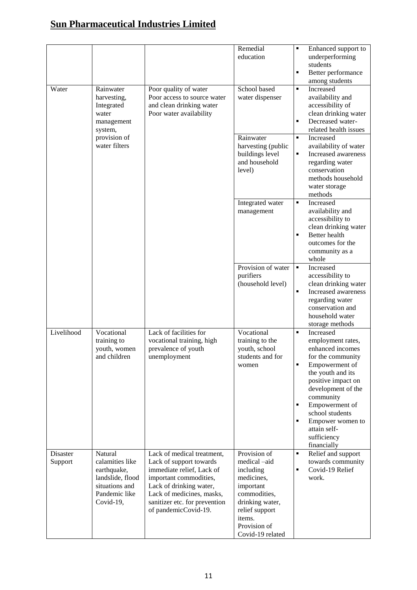|                     |                                                                                                               |                                                                                                                                                                                                                               | Remedial<br>education                                                                                                                                                   | Enhanced support to<br>٠<br>underperforming<br>students<br>$\blacksquare$<br>Better performance<br>among students                                                                                                                                                                                                                         |
|---------------------|---------------------------------------------------------------------------------------------------------------|-------------------------------------------------------------------------------------------------------------------------------------------------------------------------------------------------------------------------------|-------------------------------------------------------------------------------------------------------------------------------------------------------------------------|-------------------------------------------------------------------------------------------------------------------------------------------------------------------------------------------------------------------------------------------------------------------------------------------------------------------------------------------|
| Water               | Rainwater<br>harvesting,<br>Integrated<br>water<br>management<br>system,                                      | Poor quality of water<br>Poor access to source water<br>and clean drinking water<br>Poor water availability                                                                                                                   | School based<br>water dispenser                                                                                                                                         | $\blacksquare$<br>Increased<br>availability and<br>accessibility of<br>clean drinking water<br>Decreased water-<br>٠<br>related health issues                                                                                                                                                                                             |
|                     | provision of<br>water filters                                                                                 |                                                                                                                                                                                                                               | Rainwater<br>harvesting (public<br>buildings level<br>and household<br>level)                                                                                           | $\blacksquare$<br>Increased<br>availability of water<br>$\blacksquare$<br>Increased awareness<br>regarding water<br>conservation<br>methods household<br>water storage<br>methods                                                                                                                                                         |
|                     |                                                                                                               |                                                                                                                                                                                                                               | Integrated water<br>management                                                                                                                                          | Increased<br>$\blacksquare$<br>availability and<br>accessibility to<br>clean drinking water<br>Better health<br>$\blacksquare$<br>outcomes for the<br>community as a<br>whole                                                                                                                                                             |
|                     |                                                                                                               |                                                                                                                                                                                                                               | Provision of water<br>purifiers<br>(household level)                                                                                                                    | $\blacksquare$<br>Increased<br>accessibility to<br>clean drinking water<br>$\blacksquare$<br>Increased awareness<br>regarding water<br>conservation and<br>household water<br>storage methods                                                                                                                                             |
| Livelihood          | Vocational<br>training to<br>youth, women<br>and children                                                     | Lack of facilities for<br>vocational training, high<br>prevalence of youth<br>unemployment                                                                                                                                    | Vocational<br>training to the<br>youth, school<br>students and for<br>women                                                                                             | Increased<br>$\blacksquare$<br>employment rates,<br>enhanced incomes<br>for the community<br>$\blacksquare$<br>Empowerment of<br>the youth and its<br>positive impact on<br>development of the<br>community<br>Empowerment of<br>$\blacksquare$<br>school students<br>Empower women to<br>٠<br>attain self-<br>sufficiency<br>financially |
| Disaster<br>Support | Natural<br>calamities like<br>earthquake,<br>landslide, flood<br>situations and<br>Pandemic like<br>Covid-19, | Lack of medical treatment,<br>Lack of support towards<br>immediate relief, Lack of<br>important commodities,<br>Lack of drinking water,<br>Lack of medicines, masks,<br>sanitizer etc. for prevention<br>of pandemicCovid-19. | Provision of<br>medical -aid<br>including<br>medicines,<br>important<br>commodities,<br>drinking water,<br>relief support<br>items.<br>Provision of<br>Covid-19 related | Relief and support<br>$\blacksquare$<br>towards community<br>Covid-19 Relief<br>$\blacksquare$<br>work.                                                                                                                                                                                                                                   |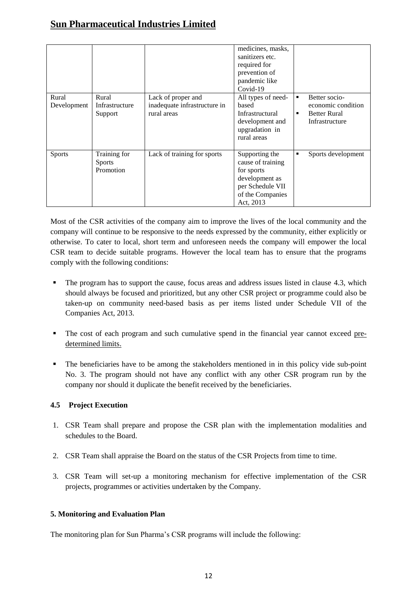|               |                |                              | medicines, masks,<br>sanitizers etc.<br>required for<br>prevention of<br>pandemic like<br>Covid-19 |                                 |
|---------------|----------------|------------------------------|----------------------------------------------------------------------------------------------------|---------------------------------|
| Rural         | Rural          | Lack of proper and           | All types of need-                                                                                 | Better socio-<br>$\blacksquare$ |
| Development   | Infrastructure | inadequate infrastructure in | based                                                                                              | economic condition              |
|               | Support        | rural areas                  | <b>Infrastructural</b>                                                                             | <b>Better Rural</b><br>٠        |
|               |                |                              | development and                                                                                    | Infrastructure                  |
|               |                |                              | upgradation in<br>rural areas                                                                      |                                 |
|               |                |                              |                                                                                                    |                                 |
| <b>Sports</b> | Training for   | Lack of training for sports  | Supporting the                                                                                     | Sports development<br>٠         |
|               | <b>Sports</b>  |                              | cause of training                                                                                  |                                 |
|               | Promotion      |                              | for sports                                                                                         |                                 |
|               |                |                              | development as                                                                                     |                                 |
|               |                |                              | per Schedule VII                                                                                   |                                 |
|               |                |                              | of the Companies                                                                                   |                                 |
|               |                |                              | Act, 2013                                                                                          |                                 |

Most of the CSR activities of the company aim to improve the lives of the local community and the company will continue to be responsive to the needs expressed by the community, either explicitly or otherwise. To cater to local, short term and unforeseen needs the company will empower the local CSR team to decide suitable programs. However the local team has to ensure that the programs comply with the following conditions:

- The program has to support the cause, focus areas and address issues listed in clause 4.3, which should always be focused and prioritized, but any other CSR project or programme could also be taken-up on community need-based basis as per items listed under Schedule VII of the Companies Act, 2013.
- The cost of each program and such cumulative spend in the financial year cannot exceed predetermined limits.
- The beneficiaries have to be among the stakeholders mentioned in in this policy vide sub-point No. 3. The program should not have any conflict with any other CSR program run by the company nor should it duplicate the benefit received by the beneficiaries.

#### **4.5 Project Execution**

- 1. CSR Team shall prepare and propose the CSR plan with the implementation modalities and schedules to the Board.
- 2. CSR Team shall appraise the Board on the status of the CSR Projects from time to time.
- 3. CSR Team will set-up a monitoring mechanism for effective implementation of the CSR projects, programmes or activities undertaken by the Company.

#### <span id="page-11-0"></span>**5. Monitoring and Evaluation Plan**

The monitoring plan for Sun Pharma's CSR programs will include the following: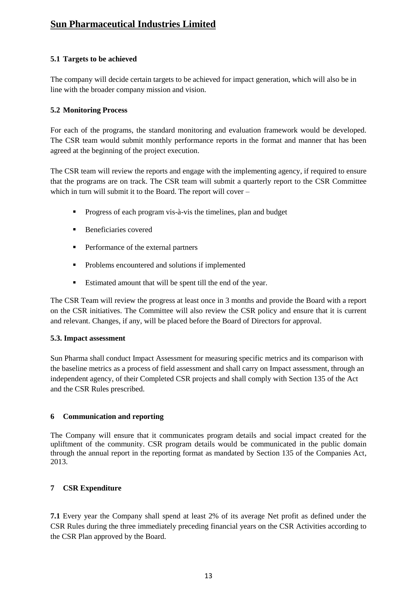#### **5.1 Targets to be achieved**

The company will decide certain targets to be achieved for impact generation, which will also be in line with the broader company mission and vision.

#### **5.2 Monitoring Process**

For each of the programs, the standard monitoring and evaluation framework would be developed. The CSR team would submit monthly performance reports in the format and manner that has been agreed at the beginning of the project execution.

The CSR team will review the reports and engage with the implementing agency, if required to ensure that the programs are on track. The CSR team will submit a quarterly report to the CSR Committee which in turn will submit it to the Board. The report will cover –

- **Progress of each program vis-à-vis the timelines, plan and budget**
- **Beneficiaries covered**
- **Performance of the external partners**
- **Problems encountered and solutions if implemented**
- Estimated amount that will be spent till the end of the year.

The CSR Team will review the progress at least once in 3 months and provide the Board with a report on the CSR initiatives. The Committee will also review the CSR policy and ensure that it is current and relevant. Changes, if any, will be placed before the Board of Directors for approval.

#### **5.3. Impact assessment**

Sun Pharma shall conduct Impact Assessment for measuring specific metrics and its comparison with the baseline metrics as a process of field assessment and shall carry on Impact assessment, through an independent agency, of their Completed CSR projects and shall comply with Section 135 of the Act and the CSR Rules prescribed.

#### <span id="page-12-0"></span>**6 Communication and reporting**

The Company will ensure that it communicates program details and social impact created for the upliftment of the community. CSR program details would be communicated in the public domain through the annual report in the reporting format as mandated by Section 135 of the Companies Act, 2013.

#### <span id="page-12-1"></span>**7 CSR Expenditure**

**7.1** Every year the Company shall spend at least 2% of its average Net profit as defined under the CSR Rules during the three immediately preceding financial years on the CSR Activities according to the CSR Plan approved by the Board.